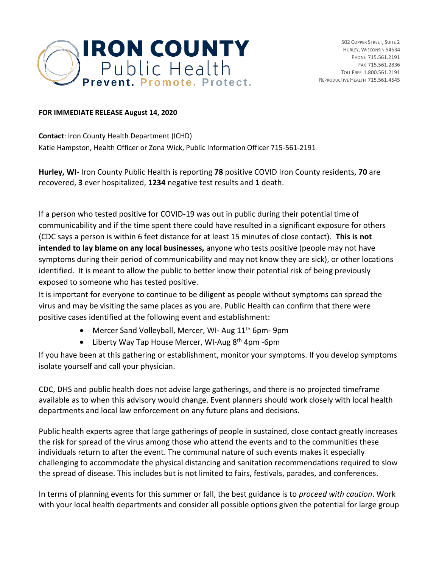

## **FOR IMMEDIATE RELEASE August 14, 2020**

**Contact**: Iron County Health Department (ICHD) Katie Hampston, Health Officer or Zona Wick, Public Information Officer 715-561-2191

**Hurley, WI-** Iron County Public Health is reporting **78** positive COVID Iron County residents, **70** are recovered, **3** ever hospitalized, **1234** negative test results and **1** death.

If a person who tested positive for COVID-19 was out in public during their potential time of communicability and if the time spent there could have resulted in a significant exposure for others (CDC says a person is within 6 feet distance for at least 15 minutes of close contact). **This is not intended to lay blame on any local businesses,** anyone who tests positive (people may not have symptoms during their period of communicability and may not know they are sick), or other locations identified. It is meant to allow the public to better know their potential risk of being previously exposed to someone who has tested positive.

It is important for everyone to continue to be diligent as people without symptoms can spread the virus and may be visiting the same places as you are. Public Health can confirm that there were positive cases identified at the following event and establishment:

- Mercer Sand Volleyball, Mercer, WI- Aug 11<sup>th</sup> 6pm- 9pm
- Liberty Way Tap House Mercer, WI-Aug 8<sup>th</sup> 4pm -6pm

If you have been at this gathering or establishment, monitor your symptoms. If you develop symptoms isolate yourself and call your physician.

CDC, DHS and public health does not advise large gatherings, and there is no projected timeframe available as to when this advisory would change. Event planners should work closely with local health departments and local law enforcement on any future plans and decisions.

Public health experts agree that large gatherings of people in sustained, close contact greatly increases the risk for spread of the virus among those who attend the events and to the communities these individuals return to after the event. The communal nature of such events makes it especially challenging to accommodate the physical distancing and sanitation recommendations required to slow the spread of disease. This includes but is not limited to fairs, festivals, parades, and conferences.

In terms of planning events for this summer or fall, the best guidance is to *proceed with caution*. Work with your local health departments and consider all possible options given the potential for large group